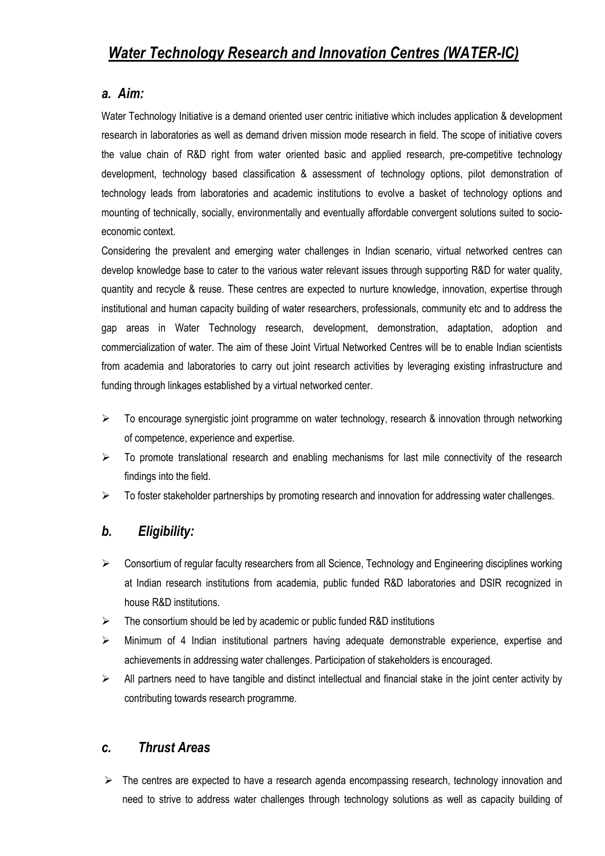#### *a. Aim:*

Water Technology Initiative is a demand oriented user centric initiative which includes application & development research in laboratories as well as demand driven mission mode research in field. The scope of initiative covers the value chain of R&D right from water oriented basic and applied research, pre-competitive technology development, technology based classification & assessment of technology options, pilot demonstration of technology leads from laboratories and academic institutions to evolve a basket of technology options and mounting of technically, socially, environmentally and eventually affordable convergent solutions suited to socioeconomic context.

Considering the prevalent and emerging water challenges in Indian scenario, virtual networked centres can develop knowledge base to cater to the various water relevant issues through supporting R&D for water quality, quantity and recycle & reuse. These centres are expected to nurture knowledge, innovation, expertise through institutional and human capacity building of water researchers, professionals, community etc and to address the gap areas in Water Technology research, development, demonstration, adaptation, adoption and commercialization of water. The aim of these Joint Virtual Networked Centres will be to enable Indian scientists from academia and laboratories to carry out joint research activities by leveraging existing infrastructure and funding through linkages established by a virtual networked center.

- $\triangleright$  To encourage synergistic joint programme on water technology, research & innovation through networking of competence, experience and expertise.
- $\triangleright$  To promote translational research and enabling mechanisms for last mile connectivity of the research findings into the field.
- $\triangleright$  To foster stakeholder partnerships by promoting research and innovation for addressing water challenges.

# *b. Eligibility:*

- $\triangleright$  Consortium of regular faculty researchers from all Science, Technology and Engineering disciplines working at Indian research institutions from academia, public funded R&D laboratories and DSIR recognized in house R&D institutions.
- $\triangleright$  The consortium should be led by academic or public funded R&D institutions
- $\triangleright$  Minimum of 4 Indian institutional partners having adequate demonstrable experience, expertise and achievements in addressing water challenges. Participation of stakeholders is encouraged.
- $\triangleright$  All partners need to have tangible and distinct intellectual and financial stake in the joint center activity by contributing towards research programme.

## *c. Thrust Areas*

 $\triangleright$  The centres are expected to have a research agenda encompassing research, technology innovation and need to strive to address water challenges through technology solutions as well as capacity building of